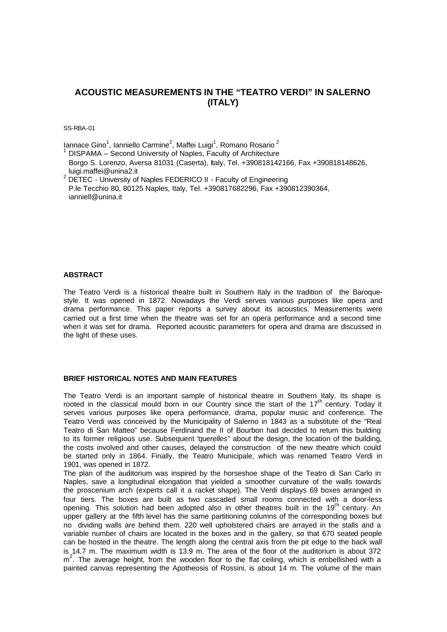# **ACOUSTIC MEASUREMENTS IN THE "TEATRO VERDI" IN SALERNO (ITALY)**

SS-RBA-01

lannace Gino<sup>1</sup>, Ianniello Carmine<sup>2</sup>, Maffei Luigi<sup>1</sup>, Romano Rosario <sup>2</sup>

1 DISPAMA – Second University of Naples, Faculty of Architecture Borgo S. Lorenzo, Aversa 81031 (Caserta), Italy, Tel. +390818142166, Fax +390818148626, luigi.maffei@unina2.it

 $2$  DETEC - University of Naples FEDERICO II - Faculty of Engineering P.le Tecchio 80, 80125 Naples, Italy, Tel. +390817682296, Fax +390812390364, ianniell@unina.it

## **ABSTRACT**

The Teatro Verdi is a historical theatre built in Southern Italy in the tradition of the Baroquestyle. It was opened in 1872. Nowadays the Verdi serves various purposes like opera and drama performance. This paper reports a survey about its acoustics. Measurements were carried out a first time when the theatre was set for an opera performance and a second time when it was set for drama. Reported acoustic parameters for opera and drama are discussed in the light of these uses.

# **BRIEF HISTORICAL NOTES AND MAIN FEATURES**

The Teatro Verdi is an important sample of historical theatre in Southern Italy. Its shape is rooted in the classical mould born in our Country since the start of the  $17<sup>th</sup>$  century. Today it serves various purposes like opera performance, drama, popular music and conference. The Teatro Verdi was conceived by the Municipality of Salerno in 1843 as a substitute of the "Real Teatro di San Matteo" because Ferdinand the II of Bourbon had decided to return this building to its former religious use. Subsequent "*querelles*" about the design, the location of the building, the costs involved and other causes, delayed the construction of the new theatre which could be started only in 1864. Finally, the Teatro Municipale, which was renamed Teatro Verdi in 1901, was opened in 1872.

The plan of the auditorium was inspired by the horseshoe shape of the Teatro di San Carlo in Naples, save a longitudinal elongation that yielded a smoother curvature of the walls towards the proscenium arch (experts call it a racket shape). The Verdi displays 69 boxes arranged in four tiers. The boxes are built as two cascaded small rooms connected with a door-less opening. This solution had been adopted also in other theatres built in the  $19<sup>th</sup>$  century. An upper gallery at the fifth level has the same partitioning columns of the corresponding boxes but no dividing walls are behind them. 220 well upholstered chairs are arrayed in the stalls and a variable number of chairs are located in the boxes and in the gallery, so that 670 seated people can be hosted in the theatre. The length along the central axis from the pit edge to the back wall is 14.7 m. The maximum width is 13.9 m. The area of the floor of the auditorium is about 372  $m<sup>2</sup>$ . The average height, from the wooden floor to the flat ceiling, which is embellished with a painted canvas representing the Apotheosis of Rossini, is about 14 m. The volume of the main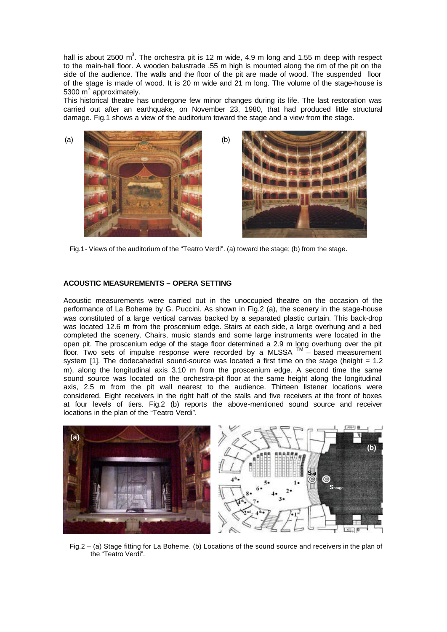hall is about 2500 m<sup>3</sup>. The orchestra pit is 12 m wide, 4.9 m long and 1.55 m deep with respect to the main-hall floor. A wooden balustrade .55 m high is mounted along the rim of the pit on the side of the audience. The walls and the floor of the pit are made of wood. The suspended floor of the stage is made of wood. It is 20 m wide and 21 m long. The volume of the stage-house is 5300  $m^3$  approximately.

This historical theatre has undergone few minor changes during its life. The last restoration was carried out after an earthquake, on November 23, 1980, that had produced little structural damage. Fig.1 shows a view of the auditorium toward the stage and a view from the stage.



Fig.1- Views of the auditorium of the "Teatro Verdi". (a) toward the stage; (b) from the stage.

### **ACOUSTIC MEASUREMENTS – OPERA SETTING**

Acoustic measurements were carried out in the unoccupied theatre on the occasion of the performance of La Boheme by G. Puccini. As shown in Fig.2 (a), the scenery in the stage-house was constituted of a large vertical canvas backed by a separated plastic curtain. This back-drop was located 12.6 m from the proscenium edge. Stairs at each side, a large overhung and a bed completed the scenery. Chairs, music stands and some large instruments were located in the open pit. The proscenium edge of the stage floor determined a 2.9 m long overhung over the pit floor. Two sets of impulse response were recorded by a MLSSA ™ – based measurement system [1]. The dodecahedral sound-source was located a first time on the stage (height = 1.2) m), along the longitudinal axis 3.10 m from the proscenium edge. A second time the same sound source was located on the orchestra-pit floor at the same height along the longitudinal axis, 2.5 m from the pit wall nearest to the audience. Thirteen listener locations were considered. Eight receivers in the right half of the stalls and five receivers at the front of boxes at four levels of tiers. Fig.2 (b) reports the above-mentioned sound source and receiver locations in the plan of the "Teatro Verdi".



Fig.2 – (a) Stage fitting for La Boheme. (b) Locations of the sound source and receivers in the plan of the "Teatro Verdi".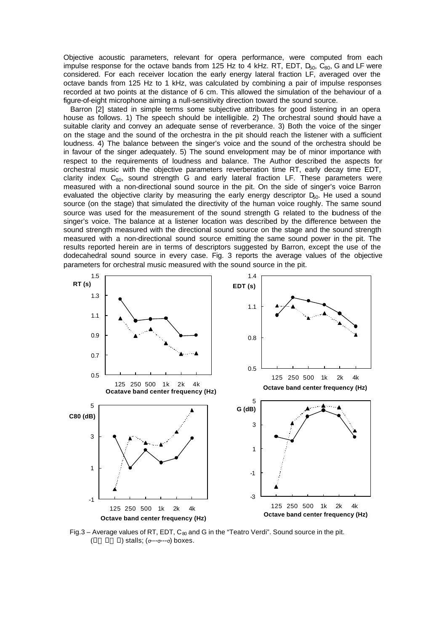Objective acoustic parameters, relevant for opera performance, were computed from each impulse response for the octave bands from 125 Hz to 4 kHz. RT, EDT,  $D_{50}$ ,  $C_{80}$ , G and LF were considered. For each receiver location the early energy lateral fraction LF, averaged over the octave bands from 125 Hz to 1 kHz, was calculated by combining a pair of impulse responses recorded at two points at the distance of 6 cm. This allowed the simulation of the behaviour of a figure-of-eight microphone aiming a null-sensitivity direction toward the sound source.

Barron [2] stated in simple terms some subjective attributes for good listening in an opera house as follows. 1) The speech should be intelligible. 2) The orchestral sound should have a suitable clarity and convey an adequate sense of reverberance. 3) Both the voice of the singer on the stage and the sound of the orchestra in the pit should reach the listener with a sufficient loudness. 4) The balance between the singer's voice and the sound of the orchestra should be in favour of the singer adequately. 5) The sound envelopment may be of minor importance with respect to the requirements of loudness and balance. The Author described the aspects for orchestral music with the objective parameters reverberation time RT, early decay time EDT, clarity index  $C_{80}$ , sound strength G and early lateral fraction LF. These parameters were measured with a non-directional sound source in the pit. On the side of singer's voice Barron evaluated the objective clarity by measuring the early energy descriptor  $D<sub>50</sub>$ . He used a sound source (on the stage) that simulated the directivity of the human voice roughly. The same sound source was used for the measurement of the sound strength G related to the budness of the singer's voice. The balance at a listener location was described by the difference between the sound strength measured with the directional sound source on the stage and the sound strength measured with a non-directional sound source emitting the same sound power in the pit. The results reported herein are in terms of descriptors suggested by Barron, except the use of the dodecahedral sound source in every case. Fig. 3 reports the average values of the objective parameters for orchestral music measured with the sound source in the pit.



Fig.3 – Average values of RT, EDT, C<sub>80</sub> and G in the "Teatro Verdi". Sound source in the pit.  $(\bullet \longrightarrow \bullet)$  stalls; (σ---σ---σ) boxes.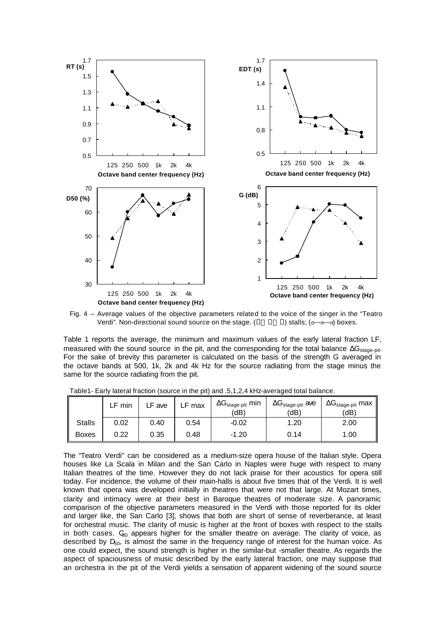

Fig. 4 – Average values of the objective parameters related to the voice of the singer in the "Teatro Verdi". Non-directional sound source on the stage. ( $\bullet \longrightarrow \bullet$ ) stalls; (σ---σ---σ) boxes.

Table 1 reports the average, the minimum and maximum values of the early lateral fraction LF, measured with the sound source in the pit, and the corresponding for the total balance  $\Delta G_{\text{stage-bit}}$ . For the sake of brevity this parameter is calculated on the basis of the strength G averaged in the octave bands at 500, 1k, 2k and 4k Hz for the source radiating from the stage minus the same for the source radiating from the pit.

|               | min  | .F ave | ∟F max | $\Delta G_{stage\text{-}pit}$ min<br>(dB) | $\Delta G_{stage\text{-}pit}$ ave<br>(dB) | $\Delta G_{stage-pit}$ max<br>(dB) |
|---------------|------|--------|--------|-------------------------------------------|-------------------------------------------|------------------------------------|
| <b>Stalls</b> | 0.02 | 0.40   | 0.54   | $-0.02$                                   | .20.،                                     | 2.00                               |
| <b>Boxes</b>  | 0.22 | 0.35   | 0.48   | $-1.20$                                   | 0.14                                      | 1.00                               |

Table1- Early lateral fraction (source in the pit) and .5,1,2,4 kHz-averaged total balance.

The "Teatro Verdi" can be considered as a medium-size opera house of the Italian style. Opera houses like La Scala in Milan and the San Carlo in Naples were huge with respect to many Italian theatres of the time. However they do not lack praise for their acoustics for opera still today. For incidence, the volume of their main-halls is about five times that of the Verdi. It is well known that opera was developed initially in theatres that were not that large. At Mozart times, clarity and intimacy were at their best in Baroque theatres of moderate size. A panoramic comparison of the objective parameters measured in the Verdi with those reported for its older and larger like, the San Carlo [3], shows that both are short of sense of reverberance, at least for orchestral music. The clarity of music is higher at the front of boxes with respect to the stalls in both cases.  $C_{80}$  appears higher for the smaller theatre on average. The clarity of voice, as described by  $D_{50}$ , is almost the same in the frequency range of interest for the human voice. As one could expect, the sound strength is higher in the similar-but -smaller theatre. As regards the aspect of spaciousness of music described by the early lateral fraction, one may suppose that an orchestra in the pit of the Verdi yields a sensation of apparent widening of the sound source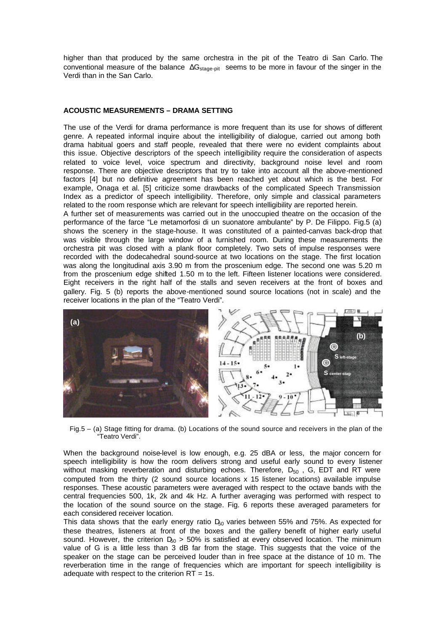higher than that produced by the same orchestra in the pit of the Teatro di San Carlo. The conventional measure of the balance  $\Delta G_{\text{stage-bit}}$  seems to be more in favour of the singer in the Verdi than in the San Carlo.

#### **ACOUSTIC MEASUREMENTS – DRAMA SETTING**

The use of the Verdi for drama performance is more frequent than its use for shows of different genre. A repeated informal inquire about the intelligibility of dialogue, carried out among both drama habitual goers and staff people, revealed that there were no evident complaints about this issue. Objective descriptors of the speech intelligibility require the consideration of aspects related to voice level, voice spectrum and directivity, background noise level and room response. There are objective descriptors that try to take into account all the above-mentioned factors [4] but no definitive agreement has been reached yet about which is the best. For example, Onaga et al. [5] criticize some drawbacks of the complicated Speech Transmission Index as a predictor of speech intelligibility. Therefore, only simple and classical parameters related to the room response which are relevant for speech intelligibility are reported herein.

A further set of measurements was carried out in the unoccupied theatre on the occasion of the performance of the farce "Le metamorfosi di un suonatore ambulante" by P. De Filippo. Fig.5 (a) shows the scenery in the stage-house. It was constituted of a painted-canvas back-drop that was visible through the large window of a furnished room. During these measurements the orchestra pit was closed with a plank floor completely. Two sets of impulse responses were recorded with the dodecahedral sound-source at two locations on the stage. The first location was along the longitudinal axis 3.90 m from the proscenium edge. The second one was 5.20 m from the proscenium edge shifted 1.50 m to the left. Fifteen listener locations were considered. Eight receivers in the right half of the stalls and seven receivers at the front of boxes and gallery. Fig. 5 (b) reports the above-mentioned sound source locations (not in scale) and the receiver locations in the plan of the "Teatro Verdi".



Fig.5 – (a) Stage fitting for drama. (b) Locations of the sound source and receivers in the plan of the "Teatro Verdi".

When the background noise-level is low enough, e.g. 25 dBA or less, the major concern for speech intelligibility is how the room delivers strong and useful early sound to every listener without masking reverberation and disturbing echoes. Therefore,  $D_{50}$ , G, EDT and RT were computed from the thirty (2 sound source locations x 15 listener locations) available impulse responses. These acoustic parameters were averaged with respect to the octave bands with the central frequencies 500, 1k, 2k and 4k Hz. A further averaging was performed with respect to the location of the sound source on the stage. Fig. 6 reports these averaged parameters for each considered receiver location.

This data shows that the early energy ratio  $D<sub>60</sub>$  varies between 55% and 75%. As expected for these theatres, listeners at front of the boxes and the gallery benefit of higher early useful sound. However, the criterion  $D_{50} > 50\%$  is satisfied at every observed location. The minimum value of G is a little less than 3 dB far from the stage. This suggests that the voice of the speaker on the stage can be perceived louder than in free space at the distance of 10 m. The reverberation time in the range of frequencies which are important for speech intelligibility is adequate with respect to the criterion  $RT = 1s$ .